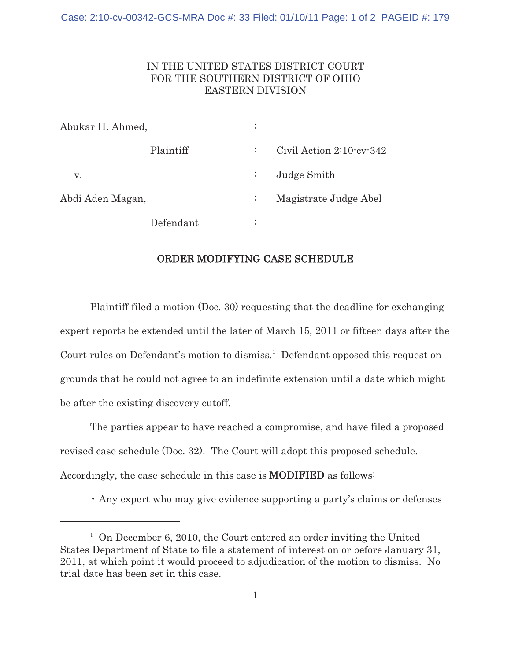## IN THE UNITED STATES DISTRICT COURT FOR THE SOUTHERN DISTRICT OF OHIO EASTERN DIVISION

| Abukar H. Ahmed, |           | $\ddot{\phantom{a}}$ |                              |
|------------------|-----------|----------------------|------------------------------|
|                  | Plaintiff | ÷                    | Civil Action $2:10$ cv $342$ |
| v.               |           | $\mathbb{Z}^+$       | Judge Smith                  |
| Abdi Aden Magan, |           | $\ddot{\cdot}$       | Magistrate Judge Abel        |
|                  | Defendant | ٠<br>٠               |                              |

## ORDER MODIFYING CASE SCHEDULE

Plaintiff filed a motion (Doc. 30) requesting that the deadline for exchanging expert reports be extended until the later of March 15, 2011 or fifteen days after the Court rules on Defendant's motion to dismiss.<sup>1</sup> Defendant opposed this request on grounds that he could not agree to an indefinite extension until a date which might be after the existing discovery cutoff.

The parties appear to have reached a compromise, and have filed a proposed revised case schedule (Doc. 32). The Court will adopt this proposed schedule. Accordingly, the case schedule in this case is **MODIFIED** as follows:

• Any expert who may give evidence supporting a party's claims or defenses

<sup>&</sup>lt;sup>1</sup> On December 6, 2010, the Court entered an order inviting the United States Department of State to file a statement of interest on or before January 31, 2011, at which point it would proceed to adjudication of the motion to dismiss. No trial date has been set in this case.